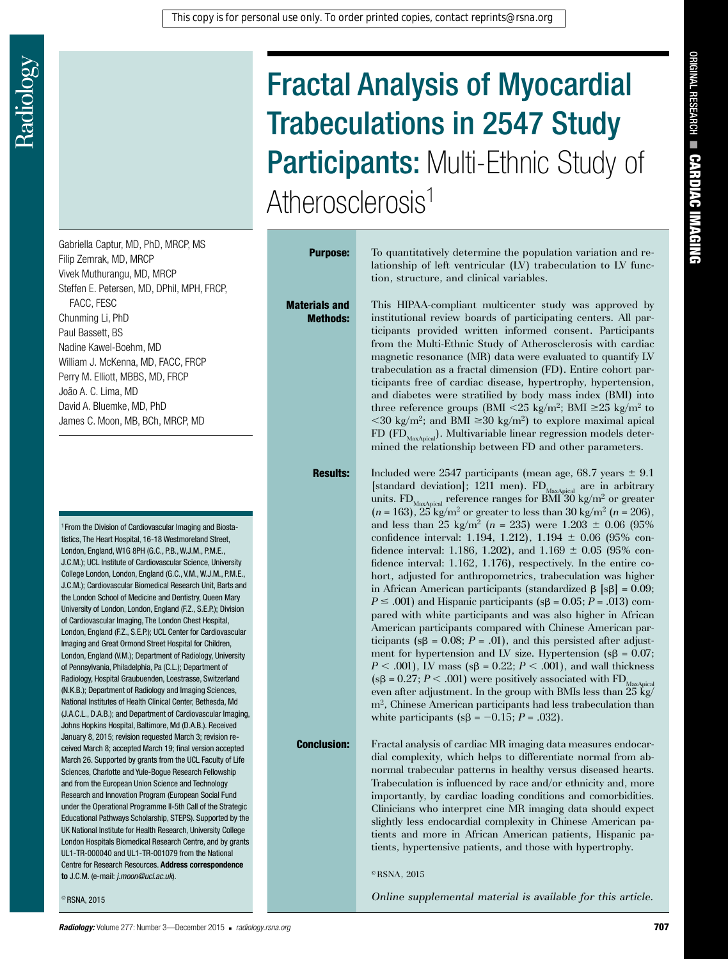Materials and Methods:

# Fractal Analysis of Myocardial Trabeculations in 2547 Study Participants: Multi-Ethnic Study of Atherosclerosis<sup>1</sup>

Gabriella Captur, MD, PhD, MRCP, MS Filip Zemrak, MD, MRCP Vivek Muthurangu, MD, MRCP Steffen E. Petersen, MD, DPhil, MPH, FRCP, FACC, FESC Chunming Li, PhD Paul Bassett, BS Nadine Kawel-Boehm, MD William J. McKenna, MD, FACC, FRCP Perry M. Elliott, MBBS, MD, FRCP João A. C. Lima, MD David A. Bluemke, MD, PhD James C. Moon, MB, BCh, MRCP, MD

<sup>1</sup> From the Division of Cardiovascular Imaging and Biostatistics, The Heart Hospital, 16-18 Westmoreland Street, London, England, W1G 8PH (G.C., P.B., W.J.M., P.M.E., J.C.M.); UCL Institute of Cardiovascular Science, University College London, London, England (G.C., V.M., W.J.M., P.M.E., J.C.M.); Cardiovascular Biomedical Research Unit, Barts and the London School of Medicine and Dentistry, Queen Mary University of London, London, England (F.Z., S.E.P.); Division of Cardiovascular Imaging, The London Chest Hospital, London, England (F.Z., S.E.P.); UCL Center for Cardiovascular Imaging and Great Ormond Street Hospital for Children, London, England (V.M.); Department of Radiology, University of Pennsylvania, Philadelphia, Pa (C.L.); Department of Radiology, Hospital Graubuenden, Loestrasse, Switzerland (N.K.B.); Department of Radiology and Imaging Sciences, National Institutes of Health Clinical Center, Bethesda, Md (J.A.C.L., D.A.B.); and Department of Cardiovascular Imaging, Johns Hopkins Hospital, Baltimore, Md (D.A.B.). Received January 8, 2015; revision requested March 3; revision received March 8; accepted March 19; final version accepted March 26. Supported by grants from the UCL Faculty of Life Sciences, Charlotte and Yule-Bogue Research Fellowship and from the European Union Science and Technology Research and Innovation Program (European Social Fund under the Operational Programme II-5th Call of the Strategic Educational Pathways Scholarship, STEPS). Supported by the UK National Institute for Health Research, University College London Hospitals Biomedical Research Centre, and by grants UL1-TR-000040 and UL1-TR-001079 from the National Centre for Research Resources. **Address correspondence to** J.C.M. (e-mail: *j.moon@ucl.ac.uk*).

© RSNA, 2015

**Purpose:** To quantitatively determine the population variation and relationship of left ventricular (LV) trabeculation to LV function, structure, and clinical variables.

> This HIPAA-compliant multicenter study was approved by institutional review boards of participating centers. All participants provided written informed consent. Participants from the Multi-Ethnic Study of Atherosclerosis with cardiac magnetic resonance (MR) data were evaluated to quantify LV trabeculation as a fractal dimension (FD). Entire cohort participants free of cardiac disease, hypertrophy, hypertension, and diabetes were stratified by body mass index (BMI) into three reference groups (BMI <25 kg/m<sup>2</sup>; BMI  $\geq$ 25 kg/m<sup>2</sup> to  $\langle 30 \text{ kg/m}^2$ ; and BMI  $\geq 30 \text{ kg/m}^2$ ) to explore maximal apical  $FD$  (FD<sub>MaxApical</sub>). Multivariable linear regression models determined the relationship between FD and other parameters.

**Results:** Included were 2547 participants (mean age,  $68.7$  years  $\pm$  9.1 [standard deviation]; 1211 men).  $FD_{MaxAbical}$  are in arbitrary units. FD<sub>MaxApical</sub> reference ranges for BMI 30 kg/m<sup>2</sup> or greater  $(n = 163)$ ,  $25 \text{ kg/m}^2$  or greater to less than  $30 \text{ kg/m}^2$   $(n = 206)$ , and less than 25 kg/m<sup>2</sup> ( $n = 235$ ) were 1.203  $\pm$  0.06 (95%) confidence interval: 1.194, 1.212),  $1.194 \pm 0.06$  (95% confidence interval: 1.186, 1.202), and  $1.169 \pm 0.05$  (95% confidence interval: 1.162, 1.176), respectively. In the entire cohort, adjusted for anthropometrics, trabeculation was higher in African American participants (standardized  $\beta$  [s $\beta$ ] = 0.09;  $P \leq .001$ ) and Hispanic participants ( $s\beta = 0.05$ ; *P* = .013) compared with white participants and was also higher in African American participants compared with Chinese American participants ( $s\beta = 0.08$ ;  $P = .01$ ), and this persisted after adjustment for hypertension and LV size. Hypertension ( $s\beta = 0.07$ ;  $P < .001$ ), LV mass ( $s\beta = 0.22$ ;  $P < .001$ ), and wall thickness ( $s\beta = 0.27$ ;  $P < .001$ ) were positively associated with FD<sub>MaxApical</sub> even after adjustment. In the group with BMIs less than 25 kg/ m2, Chinese American participants had less trabeculation than white participants ( $s\beta = -0.15$ ; *P* = .032).

**Conclusion:** Fractal analysis of cardiac MR imaging data measures endocardial complexity, which helps to differentiate normal from abnormal trabecular patterns in healthy versus diseased hearts. Trabeculation is influenced by race and/or ethnicity and, more importantly, by cardiac loading conditions and comorbidities. Clinicians who interpret cine MR imaging data should expect slightly less endocardial complexity in Chinese American patients and more in African American patients, Hispanic patients, hypertensive patients, and those with hypertrophy.

 $\textcirc$  RSNA, 2015

*Online supplemental material is available for this article.*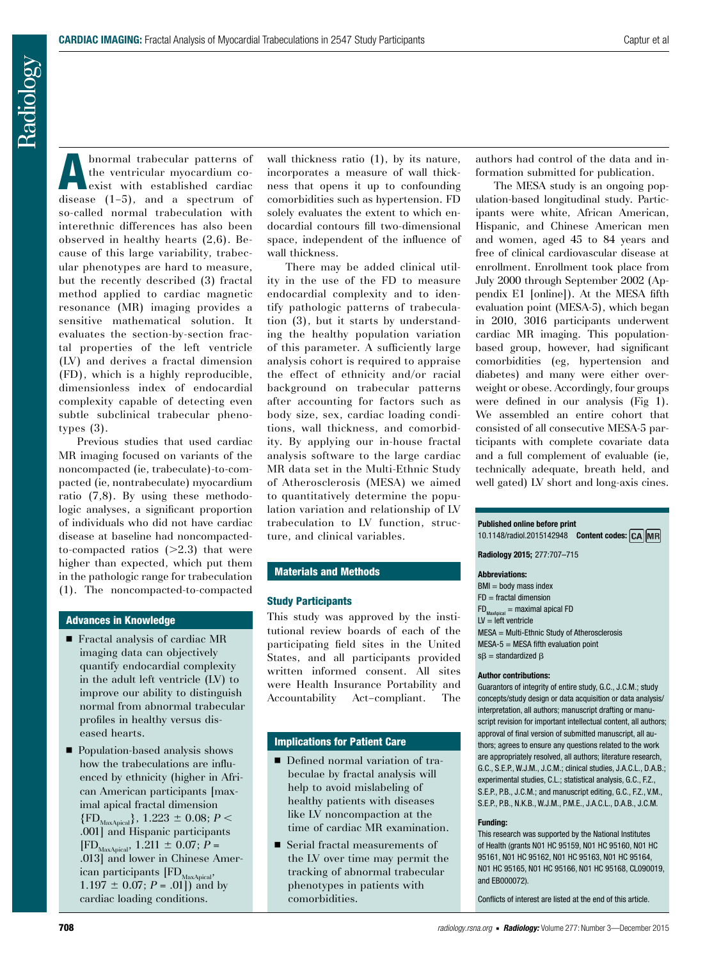Radiology

Abnormal trabecular patterns of the ventricular myocardium coexist with established cardiac disease (1–5), and a spectrum of so-called normal trabeculation with interethnic differences has also been observed in healthy hearts (2,6). Because of this large variability, trabecular phenotypes are hard to measure, but the recently described (3) fractal method applied to cardiac magnetic resonance (MR) imaging provides a sensitive mathematical solution. It evaluates the section-by-section fractal properties of the left ventricle (LV) and derives a fractal dimension (FD), which is a highly reproducible, dimensionless index of endocardial complexity capable of detecting even subtle subclinical trabecular phenotypes (3).

Previous studies that used cardiac MR imaging focused on variants of the noncompacted (ie, trabeculate)-to-compacted (ie, nontrabeculate) myocardium ratio (7,8). By using these methodologic analyses, a significant proportion of individuals who did not have cardiac disease at baseline had noncompactedto-compacted ratios  $(>=2.3)$  that were higher than expected, which put them in the pathologic range for trabeculation (1). The noncompacted-to-compacted

#### Advances in Knowledge

- $\blacksquare$  Fractal analysis of cardiac MR imaging data can objectively quantify endocardial complexity in the adult left ventricle (LV) to improve our ability to distinguish normal from abnormal trabecular profiles in healthy versus diseased hearts.
- Population-based analysis shows how the trabeculations are influenced by ethnicity (higher in African American participants [maximal apical fractal dimension  ${F_{\text{MaxAnimal}}}, 1.223 \pm 0.08; P <$ .001] and Hispanic participants  $[FD_{MaxApical}, 1.211 \pm 0.07; P =$ .013] and lower in Chinese American participants [FD<sub>MaxApical</sub>,  $1.197 \pm 0.07$ ; *P* = .01]) and by cardiac loading conditions.

wall thickness ratio  $(1)$ , by its nature, incorporates a measure of wall thickness that opens it up to confounding comorbidities such as hypertension. FD solely evaluates the extent to which endocardial contours fill two-dimensional space, independent of the influence of wall thickness.

There may be added clinical utility in the use of the FD to measure endocardial complexity and to identify pathologic patterns of trabeculation (3), but it starts by understanding the healthy population variation of this parameter. A sufficiently large analysis cohort is required to appraise the effect of ethnicity and/or racial background on trabecular patterns after accounting for factors such as body size, sex, cardiac loading conditions, wall thickness, and comorbidity. By applying our in-house fractal analysis software to the large cardiac MR data set in the Multi-Ethnic Study of Atherosclerosis (MESA) we aimed to quantitatively determine the population variation and relationship of LV trabeculation to LV function, structure, and clinical variables.

# Materials and Methods

#### Study Participants

This study was approved by the institutional review boards of each of the participating field sites in the United States, and all participants provided written informed consent. All sites were Health Insurance Portability and Accountability Act–compliant. The

## Implications for Patient Care

- $\blacksquare$  Defined normal variation of trabeculae by fractal analysis will help to avoid mislabeling of healthy patients with diseases like LV noncompaction at the time of cardiac MR examination.
- $\blacksquare$  Serial fractal measurements of the LV over time may permit the tracking of abnormal trabecular phenotypes in patients with comorbidities.

authors had control of the data and information submitted for publication.

The MESA study is an ongoing population-based longitudinal study. Participants were white, African American, Hispanic, and Chinese American men and women, aged 45 to 84 years and free of clinical cardiovascular disease at enrollment. Enrollment took place from July 2000 through September 2002 (Appendix E1 [online]). At the MESA fifth evaluation point (MESA-5), which began in 2010, 3016 participants underwent cardiac MR imaging. This populationbased group, however, had significant comorbidities (eg, hypertension and diabetes) and many were either overweight or obese. Accordingly, four groups were defined in our analysis (Fig 1). We assembled an entire cohort that consisted of all consecutive MESA-5 participants with complete covariate data and a full complement of evaluable (ie, technically adequate, breath held, and well gated) LV short and long-axis cines.

#### **Published online before print**

10.1148/radiol.2015142948 **Content codes:**

**Radiology 2015;** 277:707–715

#### **Abbreviations:**

 $BMI = body$  mass index  $FD =$  fractal dimension  $FD_{MaxADical}$  = maximal apical FD  $LV = left$  ventricle MESA = Multi-Ethnic Study of Atherosclerosis MESA-5 = MESA fifth evaluation point  $s\beta$  = standardized  $\beta$ 

#### **Author contributions:**

Guarantors of integrity of entire study, G.C., J.C.M.; study concepts/study design or data acquisition or data analysis/ interpretation, all authors; manuscript drafting or manuscript revision for important intellectual content, all authors; approval of final version of submitted manuscript, all authors; agrees to ensure any questions related to the work are appropriately resolved, all authors; literature research, G.C., S.E.P., W.J.M., J.C.M.; clinical studies, J.A.C.L., D.A.B.; experimental studies, C.L.; statistical analysis, G.C., F.Z., S.E.P., P.B., J.C.M.; and manuscript editing, G.C., F.Z., V.M., S.E.P., P.B., N.K.B., W.J.M., P.M.E., J.A.C.L., D.A.B., J.C.M.

#### **Funding:**

This research was supported by the National Institutes of Health (grants N01 HC 95159, N01 HC 95160, N01 HC 95161, N01 HC 95162, N01 HC 95163, N01 HC 95164, N01 HC 95165, N01 HC 95166, N01 HC 95168, CL090019, and EB000072).

Conflicts of interest are listed at the end of this article.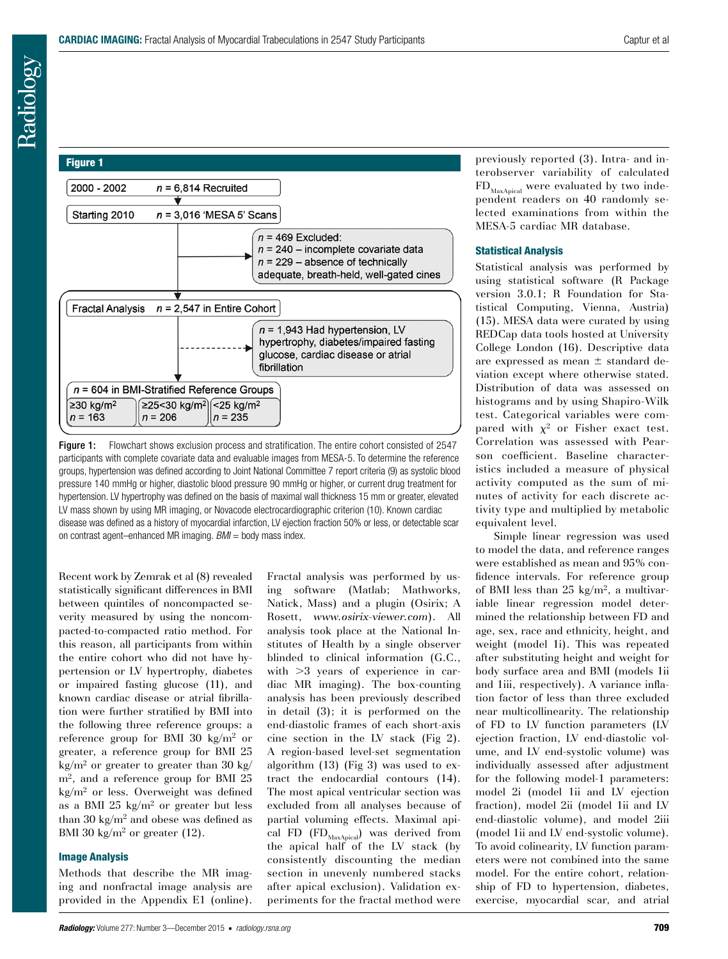

Figure 1: Flowchart shows exclusion process and stratification. The entire cohort consisted of 2547 participants with complete covariate data and evaluable images from MESA-5. To determine the reference groups, hypertension was defined according to Joint National Committee 7 report criteria (9) as systolic blood pressure 140 mmHg or higher, diastolic blood pressure 90 mmHg or higher, or current drug treatment for hypertension. LV hypertrophy was defined on the basis of maximal wall thickness 15 mm or greater, elevated LV mass shown by using MR imaging, or Novacode electrocardiographic criterion (10). Known cardiac disease was defined as a history of myocardial infarction, LV ejection fraction 50% or less, or detectable scar on contrast agent–enhanced MR imaging. *BMI* = body mass index.

Recent work by Zemrak et al (8) revealed statistically significant differences in BMI between quintiles of noncompacted severity measured by using the noncompacted-to-compacted ratio method. For this reason, all participants from within the entire cohort who did not have hypertension or LV hypertrophy, diabetes or impaired fasting glucose (11), and known cardiac disease or atrial fibrillation were further stratified by BMI into the following three reference groups: a reference group for BMI 30 kg/m<sup>2</sup> or greater, a reference group for BMI 25  $kg/m<sup>2</sup>$  or greater to greater than 30 kg/ m<sup>2</sup>, and a reference group for BMI 25  $kg/m<sup>2</sup>$  or less. Overweight was defined as a BMI 25  $kg/m^2$  or greater but less than 30 kg/ $m^2$  and obese was defined as BMI 30 kg/m<sup>2</sup> or greater  $(12)$ .

## Image Analysis

Methods that describe the MR imaging and nonfractal image analysis are provided in the Appendix E1 (online).

Fractal analysis was performed by using software (Matlab; Mathworks, Natick, Mass) and a plugin (Osirix; A Rosett, *www.osirix-viewer.com*). All analysis took place at the National Institutes of Health by a single observer blinded to clinical information (G.C., with  $>3$  years of experience in cardiac MR imaging). The box-counting analysis has been previously described in detail (3); it is performed on the end-diastolic frames of each short-axis cine section in the LV stack (Fig 2). A region-based level-set segmentation algorithm (13) (Fig 3) was used to extract the endocardial contours (14). The most apical ventricular section was excluded from all analyses because of partial voluming effects. Maximal apical FD  $(FD_{Max\text{Apical}})$  was derived from the apical half of the LV stack (by consistently discounting the median section in unevenly numbered stacks after apical exclusion). Validation experiments for the fractal method were previously reported (3). Intra- and interobserver variability of calculated  $FD_{Max\Delta pical}$  were evaluated by two independent readers on 40 randomly selected examinations from within the MESA-5 cardiac MR database.

# Statistical Analysis

Statistical analysis was performed by using statistical software (R Package version 3.0.1; R Foundation for Statistical Computing, Vienna, Austria) (15). MESA data were curated by using REDCap data tools hosted at University College London (16). Descriptive data are expressed as mean  $\pm$  standard deviation except where otherwise stated. Distribution of data was assessed on histograms and by using Shapiro-Wilk test. Categorical variables were compared with  $\chi^2$  or Fisher exact test. Correlation was assessed with Pearson coefficient. Baseline characteristics included a measure of physical activity computed as the sum of minutes of activity for each discrete activity type and multiplied by metabolic equivalent level.

Simple linear regression was used to model the data, and reference ranges were established as mean and 95% confidence intervals. For reference group of BMI less than  $25 \text{ kg/m}^2$ , a multivariable linear regression model determined the relationship between FD and age, sex, race and ethnicity, height, and weight (model 1i). This was repeated after substituting height and weight for body surface area and BMI (models 1ii and 1iii, respectively). A variance inflation factor of less than three excluded near multicollinearity. The relationship of FD to LV function parameters (LV ejection fraction, LV end-diastolic volume, and LV end-systolic volume) was individually assessed after adjustment for the following model-1 parameters: model 2i (model 1ii and LV ejection fraction), model 2ii (model 1ii and LV end-diastolic volume), and model 2iii (model 1ii and LV end-systolic volume). To avoid colinearity, LV function parameters were not combined into the same model. For the entire cohort, relationship of FD to hypertension, diabetes, exercise, myocardial scar, and atrial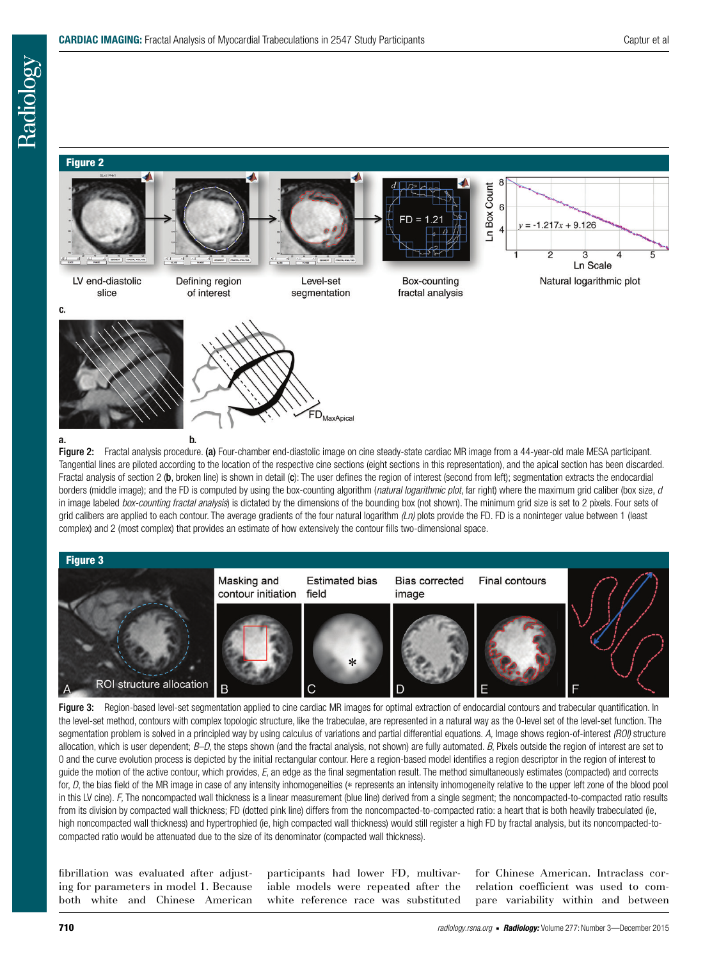#### Figure 2



Figure 2: Fractal analysis procedure. (a) Four-chamber end-diastolic image on cine steady-state cardiac MR image from a 44-year-old male MESA participant. Tangential lines are piloted according to the location of the respective cine sections (eight sections in this representation), and the apical section has been discarded. Fractal analysis of section 2 (b, broken line) is shown in detail (c): The user defines the region of interest (second from left); segmentation extracts the endocardial borders (middle image); and the FD is computed by using the box-counting algorithm (*natural logarithmic plot*, far right) where the maximum grid caliber (box size, *d*  in image labeled *box-counting fractal analysis*) is dictated by the dimensions of the bounding box (not shown). The minimum grid size is set to 2 pixels. Four sets of grid calibers are applied to each contour. The average gradients of the four natural logarithm  $(Ln)$  plots provide the FD. FD is a noninteger value between 1 (least complex) and 2 (most complex) that provides an estimate of how extensively the contour fills two-dimensional space.



Figure 3: Region-based level-set segmentation applied to cine cardiac MR images for optimal extraction of endocardial contours and trabecular quantification. In the level-set method, contours with complex topologic structure, like the trabeculae, are represented in a natural way as the 0-level set of the level-set function. The segmentation problem is solved in a principled way by using calculus of variations and partial differential equations. *A,* Image shows region-of-interest *(ROI)* structure allocation, which is user dependent; *B–D*, the steps shown (and the fractal analysis, not shown) are fully automated. *B*, Pixels outside the region of interest are set to 0 and the curve evolution process is depicted by the initial rectangular contour. Here a region-based model identifies a region descriptor in the region of interest to guide the motion of the active contour, which provides, *E*, an edge as the final segmentation result. The method simultaneously estimates (compacted) and corrects for, *D*, the bias field of the MR image in case of any intensity inhomogeneities (\* represents an intensity inhomogeneity relative to the upper left zone of the blood pool in this LV cine). *F,* The noncompacted wall thickness is a linear measurement (blue line) derived from a single segment; the noncompacted-to-compacted ratio results from its division by compacted wall thickness; FD (dotted pink line) differs from the noncompacted-to-compacted ratio: a heart that is both heavily trabeculated (ie, high noncompacted wall thickness) and hypertrophied (ie, high compacted wall thickness) would still register a high FD by fractal analysis, but its noncompacted-tocompacted ratio would be attenuated due to the size of its denominator (compacted wall thickness).

fibrillation was evaluated after adjusting for parameters in model 1. Because both white and Chinese American participants had lower FD, multivariable models were repeated after the white reference race was substituted for Chinese American. Intraclass correlation coefficient was used to compare variability within and between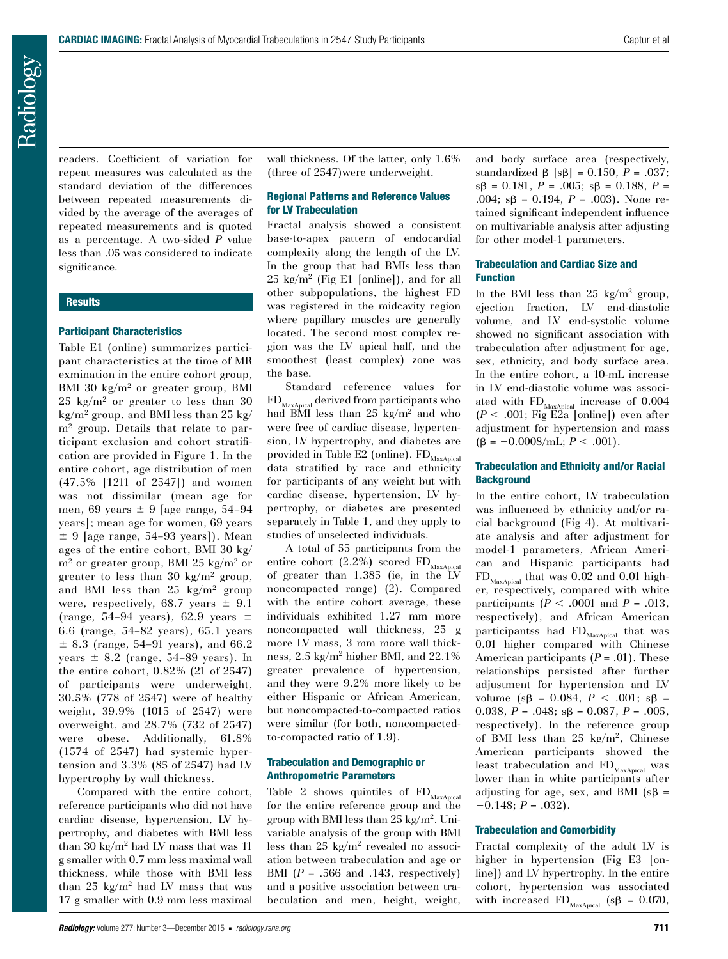readers. Coefficient of variation for repeat measures was calculated as the standard deviation of the differences between repeated measurements divided by the average of the averages of repeated measurements and is quoted as a percentage. A two-sided *P* value less than .05 was considered to indicate significance.

## **Results**

## Participant Characteristics

Table E1 (online) summarizes participant characteristics at the time of MR exmination in the entire cohort group, BMI 30  $\text{kg/m}^2$  or greater group, BMI 25 kg/m2 or greater to less than 30  $kg/m^2$  group, and BMI less than 25 kg/ m<sup>2</sup> group. Details that relate to participant exclusion and cohort stratification are provided in Figure 1. In the entire cohort, age distribution of men (47.5% [1211 of 2547]) and women was not dissimilar (mean age for men, 69 years  $\pm$  9 [age range, 54–94] years]; mean age for women, 69 years  $\pm$  9 [age range, 54–93 years]). Mean ages of the entire cohort, BMI 30 kg/  $m<sup>2</sup>$  or greater group, BMI 25 kg/m<sup>2</sup> or greater to less than 30 kg/m<sup>2</sup> group, and BMI less than 25 kg/m<sup>2</sup> group were, respectively, 68.7 years  $\pm$  9.1 (range, 54–94 years), 62.9 years  $\pm$ 6.6 (range, 54–82 years), 65.1 years  $± 8.3$  (range, 54–91 years), and 66.2 years  $\pm$  8.2 (range, 54–89 years). In the entire cohort, 0.82% (21 of 2547) of participants were underweight, 30.5% (778 of 2547) were of healthy weight, 39.9% (1015 of 2547) were overweight, and 28.7% (732 of 2547) were obese. Additionally, 61.8% (1574 of 2547) had systemic hypertension and 3.3% (85 of 2547) had LV hypertrophy by wall thickness.

Compared with the entire cohort, reference participants who did not have cardiac disease, hypertension, LV hypertrophy, and diabetes with BMI less than 30 kg/m<sup>2</sup> had LV mass that was 11 g smaller with 0.7 mm less maximal wall thickness, while those with BMI less than  $25 \text{ kg/m}^2$  had LV mass that was 17 g smaller with 0.9 mm less maximal wall thickness. Of the latter, only 1.6% (three of 2547)were underweight.

## Regional Patterns and Reference Values for LV Trabeculation

Fractal analysis showed a consistent base-to-apex pattern of endocardial complexity along the length of the LV. In the group that had BMIs less than  $25 \text{ kg/m}^2$  (Fig E1 [online]), and for all other subpopulations, the highest FD was registered in the midcavity region where papillary muscles are generally located. The second most complex region was the LV apical half, and the smoothest (least complex) zone was the base.

Standard reference values for  $\mathrm{FD}_\mathrm{MaxApical}$  derived from participants who had BMI less than 25 kg/m<sup>2</sup> and who were free of cardiac disease, hypertension, LV hypertrophy, and diabetes are provided in Table E2 (online).  $FD_{MaxApical}$ data stratified by race and ethnicity for participants of any weight but with cardiac disease, hypertension, LV hypertrophy, or diabetes are presented separately in Table 1, and they apply to studies of unselected individuals.

A total of 55 participants from the entire cohort (2.2%) scored  $FD_{MaxApical}$ of greater than 1.385 (ie, in the LV noncompacted range) (2). Compared with the entire cohort average, these individuals exhibited 1.27 mm more noncompacted wall thickness, 25 g more LV mass, 3 mm more wall thickness, 2.5 kg/m2 higher BMI, and 22.1% greater prevalence of hypertension, and they were 9.2% more likely to be either Hispanic or African American, but noncompacted-to-compacted ratios were similar (for both, noncompactedto-compacted ratio of 1.9).

## Trabeculation and Demographic or Anthropometric Parameters

Table 2 shows quintiles of  $FD_{MaxApical}$ for the entire reference group and the group with BMI less than  $25 \text{ kg/m}^2$ . Univariable analysis of the group with BMI less than  $25 \text{ kg/m}^2$  revealed no association between trabeculation and age or BMI (*P* = .566 and .143, respectively) and a positive association between trabeculation and men, height, weight,

and body surface area (respectively, standardized  $\beta$  [s $\beta$ ] = 0.150, P = .037;  $s\beta = 0.181, P = .005; s\beta = 0.188, P =$ .004;  $s\beta = 0.194$ ,  $P = .003$ ). None retained significant independent influence on multivariable analysis after adjusting for other model-1 parameters.

#### Trabeculation and Cardiac Size and Function

In the BMI less than 25 kg/m<sup>2</sup> group, ejection fraction, LV end-diastolic volume, and LV end-systolic volume showed no significant association with trabeculation after adjustment for age, sex, ethnicity, and body surface area. In the entire cohort, a 10-mL increase in LV end-diastolic volume was associated with  $FD_{\text{MaxApical}}$  increase of 0.004  $(P < .001;$  Fig E2a [online]) even after adjustment for hypertension and mass  $(\beta = -0.0008/mL; P < .001)$ .

## Trabeculation and Ethnicity and/or Racial **Background**

In the entire cohort, LV trabeculation was influenced by ethnicity and/or racial background (Fig 4). At multivariate analysis and after adjustment for model-1 parameters, African American and Hispanic participants had  $FD_{Max\Delta pical}$  that was 0.02 and 0.01 higher, respectively, compared with white participants  $(P < .0001$  and  $P = .013$ , respectively), and African American participantss had  $FD_{MaxAnical}$  that was 0.01 higher compared with Chinese American participants (*P* = .01). These relationships persisted after further adjustment for hypertension and LV volume ( $s\beta = 0.084$ ,  $P < .001$ ;  $s\beta =$ 0.038,  $P = .048$ ;  $s\beta = 0.087$ ,  $P = .005$ , respectively). In the reference group of BMI less than  $25 \text{ kg/m}^2$ , Chinese American participants showed the least trabeculation and  $FD_{Max\Delta pical}$  was lower than in white participants after adjusting for age, sex, and BMI ( $s\beta$  =  $-0.148; P = .032$ .

## Trabeculation and Comorbidity

Fractal complexity of the adult LV is higher in hypertension (Fig E3 [online]) and LV hypertrophy. In the entire cohort, hypertension was associated with increased FD<sub>MaxApical</sub> ( $s\beta = 0.070$ ,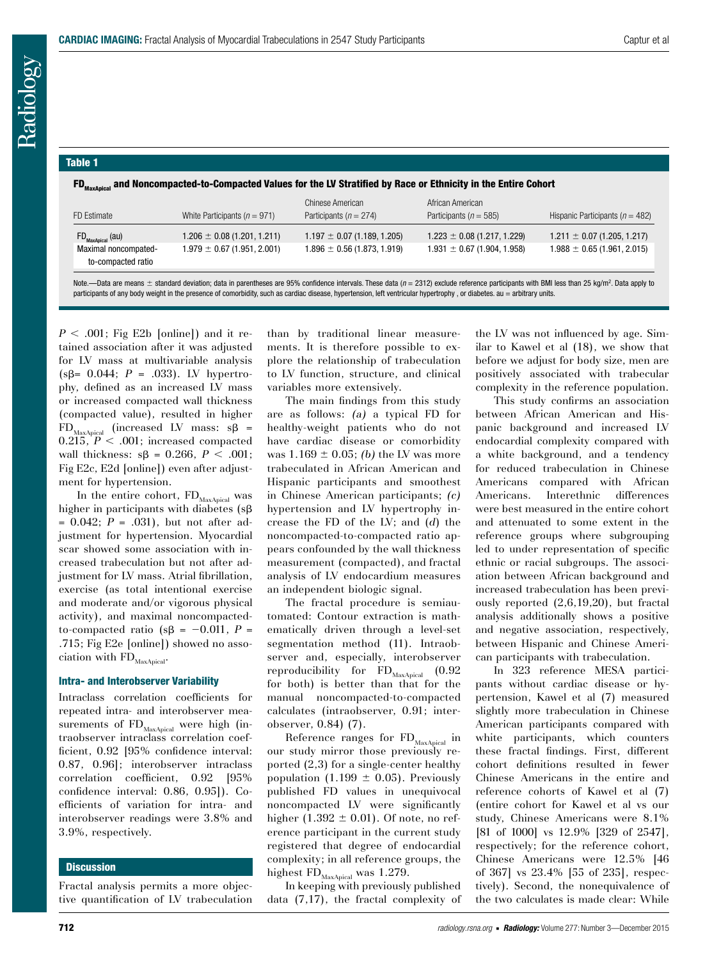#### Table 1

FD<sub>MaxAnical</sub> and Noncompacted-to-Compacted Values for the LV Stratified by Race or Ethnicity in the Entire Cohort

| FD Estimate                                                                | White Participants ( $n = 971$ )                                   | Chinese American<br>Participants ( $n = 274$ )                     | African American<br>Participants ( $n = 585$ )                     | Hispanic Participants ( $n = 482$ )                                |
|----------------------------------------------------------------------------|--------------------------------------------------------------------|--------------------------------------------------------------------|--------------------------------------------------------------------|--------------------------------------------------------------------|
| $FD_{\text{MaxApical}}$ (au)<br>Maximal noncompated-<br>to-compacted ratio | $1.206 \pm 0.08$ (1.201, 1.211)<br>$1.979 \pm 0.67$ (1.951, 2.001) | $1.197 \pm 0.07$ (1.189, 1.205)<br>$1.896 \pm 0.56$ (1.873, 1.919) | $1.223 \pm 0.08$ (1.217, 1.229)<br>$1.931 \pm 0.67$ (1.904, 1.958) | $1.211 \pm 0.07$ (1.205, 1.217)<br>$1.988 \pm 0.65$ (1.961, 2.015) |

Note.—Data are means ± standard deviation; data in parentheses are 95% confidence intervals. These data (*n* = 2312) exclude reference participants with BMI less than 25 kg/m<sup>2</sup>. Data apply to participants of any body weight in the presence of comorbidity, such as cardiac disease, hypertension, left ventricular hypertrophy , or diabetes. au = arbitrary units.

 $P < .001$ ; Fig E2b [online]) and it retained association after it was adjusted for LV mass at multivariable analysis ( $s\beta$ = 0.044; *P* = .033). LV hypertrophy, defined as an increased LV mass or increased compacted wall thickness (compacted value), resulted in higher  $FD_{\text{MaxApical}}$  (increased LV mass:  $s\beta =$  $0.215, P < .001$ ; increased compacted wall thickness:  $sβ = 0.266, P < .001;$ Fig E2c, E2d [online]) even after adjustment for hypertension.

In the entire cohort,  $\rm FD_{Max\mathcal{A}\rm{pical}}$  was higher in participants with diabetes  $(s\beta)$ = 0.042; *P* = .031), but not after adjustment for hypertension. Myocardial scar showed some association with increased trabeculation but not after adjustment for LV mass. Atrial fibrillation, exercise (as total intentional exercise and moderate and/or vigorous physical activity), and maximal noncompactedto-compacted ratio ( $s\beta = -0.011$ , *P* = .715; Fig E2e [online]) showed no association with  $FD_{MaxADical}$ .

## Intra- and Interobserver Variability

Intraclass correlation coefficients for repeated intra- and interobserver measurements of  $FD_{MaxApical}$  were high (intraobserver intraclass correlation coefficient, 0.92 [95% confidence interval: 0.87, 0.96]; interobserver intraclass correlation coefficient, 0.92 [95% confidence interval: 0.86, 0.95]). Coefficients of variation for intra- and interobserver readings were 3.8% and 3.9%, respectively.

#### **Discussion**

Fractal analysis permits a more objective quantification of LV trabeculation than by traditional linear measurements. It is therefore possible to explore the relationship of trabeculation to LV function, structure, and clinical variables more extensively.

The main findings from this study are as follows: *(a)* a typical FD for healthy-weight patients who do not have cardiac disease or comorbidity was  $1.169 \pm 0.05$ ; *(b)* the LV was more trabeculated in African American and Hispanic participants and smoothest in Chinese American participants; *(c)* hypertension and LV hypertrophy increase the FD of the LV; and (*d*) the noncompacted-to-compacted ratio appears confounded by the wall thickness measurement (compacted), and fractal analysis of LV endocardium measures an independent biologic signal.

The fractal procedure is semiautomated: Contour extraction is mathematically driven through a level-set segmentation method (11). Intraobserver and, especially, interobserver reproducibility for  $\rm FD_{MaxApical}$  (0.92 for both) is better than that for the manual noncompacted-to-compacted calculates (intraobserver, 0.91; interobserver, 0.84) (7).

Reference ranges for FD<sub>MaxApical</sub> in our study mirror those previously reported (2,3) for a single-center healthy population (1.199  $\pm$  0.05). Previously published FD values in unequivocal noncompacted LV were significantly higher  $(1.392 \pm 0.01)$ . Of note, no reference participant in the current study registered that degree of endocardial complexity; in all reference groups, the highest  $FD_{\text{MaxApical}}$  was 1.279.

In keeping with previously published data (7,17), the fractal complexity of the LV was not influenced by age. Similar to Kawel et al (18), we show that before we adjust for body size, men are positively associated with trabecular complexity in the reference population.

This study confirms an association between African American and Hispanic background and increased LV endocardial complexity compared with a white background, and a tendency for reduced trabeculation in Chinese Americans compared with African Americans. Interethnic differences were best measured in the entire cohort and attenuated to some extent in the reference groups where subgrouping led to under representation of specific ethnic or racial subgroups. The association between African background and increased trabeculation has been previously reported (2,6,19,20), but fractal analysis additionally shows a positive and negative association, respectively, between Hispanic and Chinese American participants with trabeculation.

In 323 reference MESA participants without cardiac disease or hypertension, Kawel et al (7) measured slightly more trabeculation in Chinese American participants compared with white participants, which counters these fractal findings. First, different cohort definitions resulted in fewer Chinese Americans in the entire and reference cohorts of Kawel et al (7) (entire cohort for Kawel et al vs our study, Chinese Americans were 8.1% [81 of 1000] vs 12.9% [329 of 2547], respectively; for the reference cohort, Chinese Americans were 12.5% [46 of 367] vs 23.4% [55 of 235], respectively). Second, the nonequivalence of the two calculates is made clear: While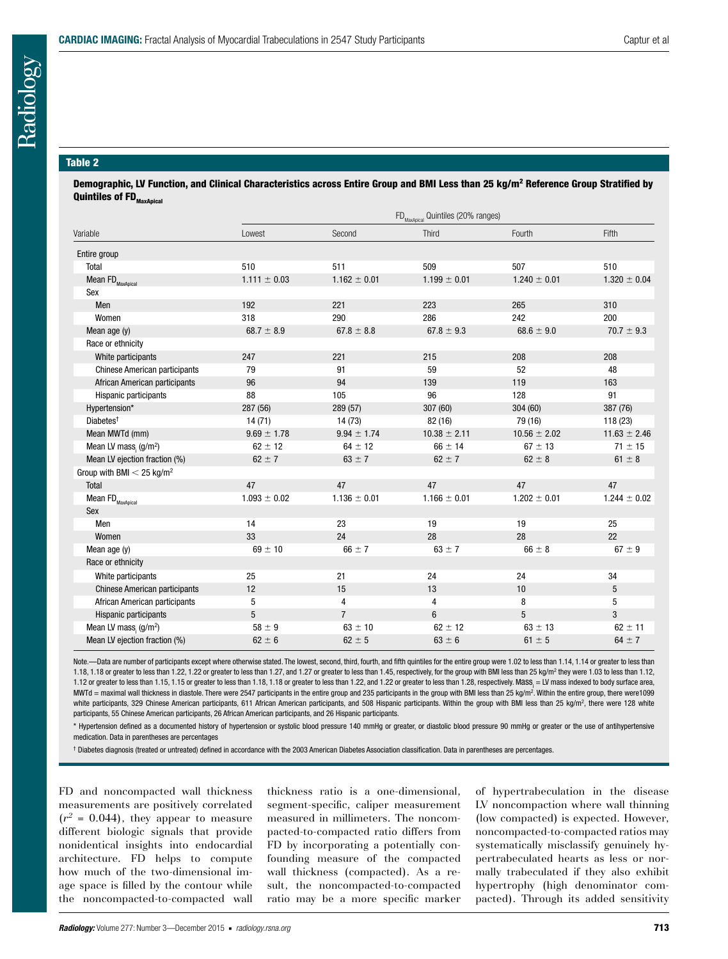#### Table 2

Demographic, LV Function, and Clinical Characteristics across Entire Group and BMI Less than 25 kg/m<sup>2</sup> Reference Group Stratified by **Quintiles of FD** $_{\text{MaxAnimal}}$ 

|                                               | FD <sub>MaxApical</sub> Quintiles (20% ranges) |                  |                  |                  |                  |  |
|-----------------------------------------------|------------------------------------------------|------------------|------------------|------------------|------------------|--|
| Variable                                      | Lowest                                         | Second           | Third            | Fourth           | Fifth            |  |
| Entire group                                  |                                                |                  |                  |                  |                  |  |
| Total                                         | 510                                            | 511              | 509              | 507              | 510              |  |
| Mean FD <sub>MaxApical</sub>                  | $1.111 \pm 0.03$                               | $1.162 \pm 0.01$ | $1.199 \pm 0.01$ | $1.240 \pm 0.01$ | $1.320 \pm 0.04$ |  |
| Sex                                           |                                                |                  |                  |                  |                  |  |
| Men                                           | 192                                            | 221              | 223              | 265              | 310              |  |
| Women                                         | 318                                            | 290              | 286              | 242              | 200              |  |
| Mean age (y)                                  | 68.7 $\pm$ 8.9                                 | $67.8 \pm 8.8$   | $67.8 \pm 9.3$   | $68.6 \pm 9.0$   | $70.7 \pm 9.3$   |  |
| Race or ethnicity                             |                                                |                  |                  |                  |                  |  |
| White participants                            | 247                                            | 221              | 215              | 208              | 208              |  |
| <b>Chinese American participants</b>          | 79                                             | 91               | 59               | 52               | 48               |  |
| African American participants                 | 96                                             | 94               | 139              | 119              | 163              |  |
| Hispanic participants                         | 88                                             | 105              | 96               | 128              | 91               |  |
| Hypertension*                                 | 287 (56)                                       | 289 (57)         | 307 (60)         | 304 (60)         | 387 (76)         |  |
| Diabetes <sup>+</sup>                         | 14(71)                                         | 14 (73)          | 82 (16)          | 79 (16)          | 118 (23)         |  |
| Mean MWTd (mm)                                | $9.69 \pm 1.78$                                | $9.94 \pm 1.74$  | $10.38 \pm 2.11$ | $10.56 \pm 2.02$ | $11.63 \pm 2.46$ |  |
| Mean LV mass, $(g/m^2)$                       | $62 \pm 12$                                    | $64 \pm 12$      | $66 \pm 14$      | $67 \pm 13$      | $71 \pm 15$      |  |
| Mean LV ejection fraction (%)                 | $62 \pm 7$                                     | $63 \pm 7$       | $62 \pm 7$       | $62 \pm 8$       | $61 \pm 8$       |  |
| Group with BMI $<$ 25 kg/m <sup>2</sup>       |                                                |                  |                  |                  |                  |  |
| Total                                         | 47                                             | 47               | 47               | 47               | 47               |  |
| Mean FD <sub>MaxApical</sub>                  | $1.093 \pm 0.02$                               | $1.136 \pm 0.01$ | $1.166 \pm 0.01$ | $1.202 \pm 0.01$ | $1.244 \pm 0.02$ |  |
| Sex                                           |                                                |                  |                  |                  |                  |  |
| Men                                           | 14                                             | 23               | 19               | 19               | 25               |  |
| Women                                         | 33                                             | 24               | 28               | 28               | 22               |  |
| Mean age (y)                                  | $69 \pm 10$                                    | $66 \pm 7$       | $63 \pm 7$       | $66 \pm 8$       | $67 \pm 9$       |  |
| Race or ethnicity                             |                                                |                  |                  |                  |                  |  |
| White participants                            | 25                                             | 21               | 24               | 24               | 34               |  |
| <b>Chinese American participants</b>          | 12                                             | 15               | 13               | 10               | 5                |  |
| African American participants                 | 5                                              | 4                | 4                | 8                | 5                |  |
| Hispanic participants                         | 5                                              | $\overline{7}$   | $6\overline{6}$  | 5                | 3                |  |
| Mean LV mass <sub>i</sub> (g/m <sup>2</sup> ) | $58 \pm 9$                                     | $63 \pm 10$      | $62 \pm 12$      | $63 \pm 13$      | $62 \pm 11$      |  |
| Mean LV ejection fraction (%)                 | $62 \pm 6$                                     | $62 \pm 5$       | $63 \pm 6$       | $61 \pm 5$       | $64 \pm 7$       |  |

Note.—Data are number of participants except where otherwise stated. The lowest, second, third, fourth, and fifth quintiles for the entire group were 1.02 to less than 1.14, 1.14 or greater to less than 1.18, 1.18 or greater to less than 1.22, 1.22 or greater to less than 1.27, and 1.27 or greater to less than 1.45, respectively, for the group with BMI less than 25 kg/m2 they were 1.03 to less than 1.12, 1.12 or greater to less than 1.15, 1.15 or greater to less than 1.18, 1.18 or greater to less than 1.22, and 1.22 or greater to less than 1.28, respectively. Mass, = LV mass indexed to body surface area, MWTd = maximal wall thickness in diastole. There were 2547 participants in the entire group and 235 participants in the group with BMI less than 25 kg/m<sup>2</sup>. Within the entire group, there were1099 white participants, 329 Chinese American participants, 611 African American participants, and 508 Hispanic participants. Within the group with BMI less than 25 kg/m<sup>2</sup>, there were 128 white participants, 55 Chinese American participants, 26 African American participants, and 26 Hispanic participants.

\* Hypertension defined as a documented history of hypertension or systolic blood pressure 140 mmHg or greater, or diastolic blood pressure 90 mmHg or greater or the use of antihypertensive medication. Data in parentheses are percentages

† Diabetes diagnosis (treated or untreated) defined in accordance with the 2003 American Diabetes Association classification. Data in parentheses are percentages.

FD and noncompacted wall thickness measurements are positively correlated  $(r^2 = 0.044)$ , they appear to measure different biologic signals that provide nonidentical insights into endocardial architecture. FD helps to compute how much of the two-dimensional image space is filled by the contour while the noncompacted-to-compacted wall thickness ratio is a one-dimensional, segment-specific, caliper measurement measured in millimeters. The noncompacted-to-compacted ratio differs from FD by incorporating a potentially confounding measure of the compacted wall thickness (compacted). As a result, the noncompacted-to-compacted ratio may be a more specific marker of hypertrabeculation in the disease LV noncompaction where wall thinning (low compacted) is expected. However, noncompacted-to-compacted ratios may systematically misclassify genuinely hypertrabeculated hearts as less or normally trabeculated if they also exhibit hypertrophy (high denominator compacted). Through its added sensitivity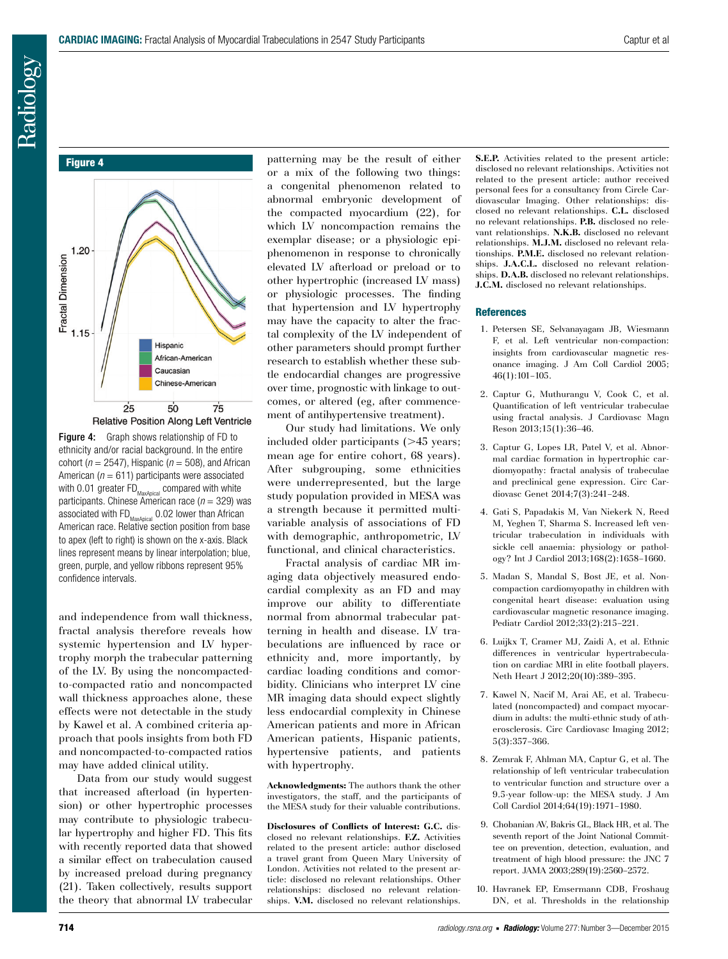Figure 4



Figure 4: Graph shows relationship of FD to ethnicity and/or racial background. In the entire cohort ( $n = 2547$ ), Hispanic ( $n = 508$ ), and African American ( $n = 611$ ) participants were associated with 0.01 greater  $\mathsf{FD}_{\mathsf{MaxApical}}$  compared with white participants. Chinese American race (*n* = 329) was associated with  $FD_{MaxApical}$  0.02 lower than African American race. Relative section position from base to apex (left to right) is shown on the x-axis. Black lines represent means by linear interpolation; blue, green, purple, and yellow ribbons represent 95% confidence intervals.

and independence from wall thickness, fractal analysis therefore reveals how systemic hypertension and LV hypertrophy morph the trabecular patterning of the LV. By using the noncompactedto-compacted ratio and noncompacted wall thickness approaches alone, these effects were not detectable in the study by Kawel et al. A combined criteria approach that pools insights from both FD and noncompacted-to-compacted ratios may have added clinical utility.

Data from our study would suggest that increased afterload (in hypertension) or other hypertrophic processes may contribute to physiologic trabecular hypertrophy and higher FD. This fits with recently reported data that showed a similar effect on trabeculation caused by increased preload during pregnancy (21). Taken collectively, results support the theory that abnormal LV trabecular patterning may be the result of either or a mix of the following two things: a congenital phenomenon related to abnormal embryonic development of the compacted myocardium (22), for which LV noncompaction remains the exemplar disease; or a physiologic epiphenomenon in response to chronically elevated LV afterload or preload or to other hypertrophic (increased LV mass) or physiologic processes. The finding that hypertension and LV hypertrophy may have the capacity to alter the fractal complexity of the LV independent of other parameters should prompt further research to establish whether these subtle endocardial changes are progressive over time, prognostic with linkage to outcomes, or altered (eg, after commencement of antihypertensive treatment).

Our study had limitations. We only included older participants  $($ >45 years; mean age for entire cohort, 68 years). After subgrouping, some ethnicities were underrepresented, but the large study population provided in MESA was a strength because it permitted multivariable analysis of associations of FD with demographic, anthropometric, LV functional, and clinical characteristics.

Fractal analysis of cardiac MR imaging data objectively measured endocardial complexity as an FD and may improve our ability to differentiate normal from abnormal trabecular patterning in health and disease. LV trabeculations are influenced by race or ethnicity and, more importantly, by cardiac loading conditions and comorbidity. Clinicians who interpret LV cine MR imaging data should expect slightly less endocardial complexity in Chinese American patients and more in African American patients, Hispanic patients, hypertensive patients, and patients with hypertrophy.

**Acknowledgments:** The authors thank the other investigators, the staff, and the participants of the MESA study for their valuable contributions.

**Disclosures of Conflicts of Interest: G.C.** disclosed no relevant relationships. **F.Z.** Activities related to the present article: author disclosed a travel grant from Queen Mary University of London. Activities not related to the present article: disclosed no relevant relationships. Other relationships: disclosed no relevant relationships. **V.M.** disclosed no relevant relationships.

**S.E.P.** Activities related to the present article: disclosed no relevant relationships. Activities not related to the present article: author received personal fees for a consultancy from Circle Cardiovascular Imaging. Other relationships: disclosed no relevant relationships. **C.L.** disclosed no relevant relationships. **P.B.** disclosed no relevant relationships. **N.K.B.** disclosed no relevant relationships. **M.J.M.** disclosed no relevant relationships. **P.M.E.** disclosed no relevant relationships. **J.A.C.L.** disclosed no relevant relationships. **D.A.B.** disclosed no relevant relationships. **J.C.M.** disclosed no relevant relationships.

#### **References**

- 1. Petersen SE, Selvanayagam JB, Wiesmann F, et al. Left ventricular non-compaction: insights from cardiovascular magnetic resonance imaging. J Am Coll Cardiol 2005; 46(1):101–105.
- 2. Captur G, Muthurangu V, Cook C, et al. Quantification of left ventricular trabeculae using fractal analysis. J Cardiovasc Magn Reson 2013;15(1):36–46.
- 3. Captur G, Lopes LR, Patel V, et al. Abnormal cardiac formation in hypertrophic cardiomyopathy: fractal analysis of trabeculae and preclinical gene expression. Circ Cardiovasc Genet 2014;7(3):241–248.
- 4. Gati S, Papadakis M, Van Niekerk N, Reed M, Yeghen T, Sharma S. Increased left ventricular trabeculation in individuals with sickle cell anaemia: physiology or pathology? Int J Cardiol 2013;168(2):1658–1660.
- 5. Madan S, Mandal S, Bost JE, et al. Noncompaction cardiomyopathy in children with congenital heart disease: evaluation using cardiovascular magnetic resonance imaging. Pediatr Cardiol 2012;33(2):215–221.
- 6. Luijkx T, Cramer MJ, Zaidi A, et al. Ethnic differences in ventricular hypertrabeculation on cardiac MRI in elite football players. Neth Heart J 2012;20(10):389–395.
- 7. Kawel N, Nacif M, Arai AE, et al. Trabeculated (noncompacted) and compact myocardium in adults: the multi-ethnic study of atherosclerosis. Circ Cardiovasc Imaging 2012; 5(3):357–366.
- 8. Zemrak F, Ahlman MA, Captur G, et al. The relationship of left ventricular trabeculation to ventricular function and structure over a 9.5-year follow-up: the MESA study. J Am Coll Cardiol 2014;64(19):1971–1980.
- 9. Chobanian AV, Bakris GL, Black HR, et al. The seventh report of the Joint National Committee on prevention, detection, evaluation, and treatment of high blood pressure: the JNC 7 report. JAMA 2003;289(19):2560–2572.
- 10. Havranek EP, Emsermann CDB, Froshaug DN, et al. Thresholds in the relationship